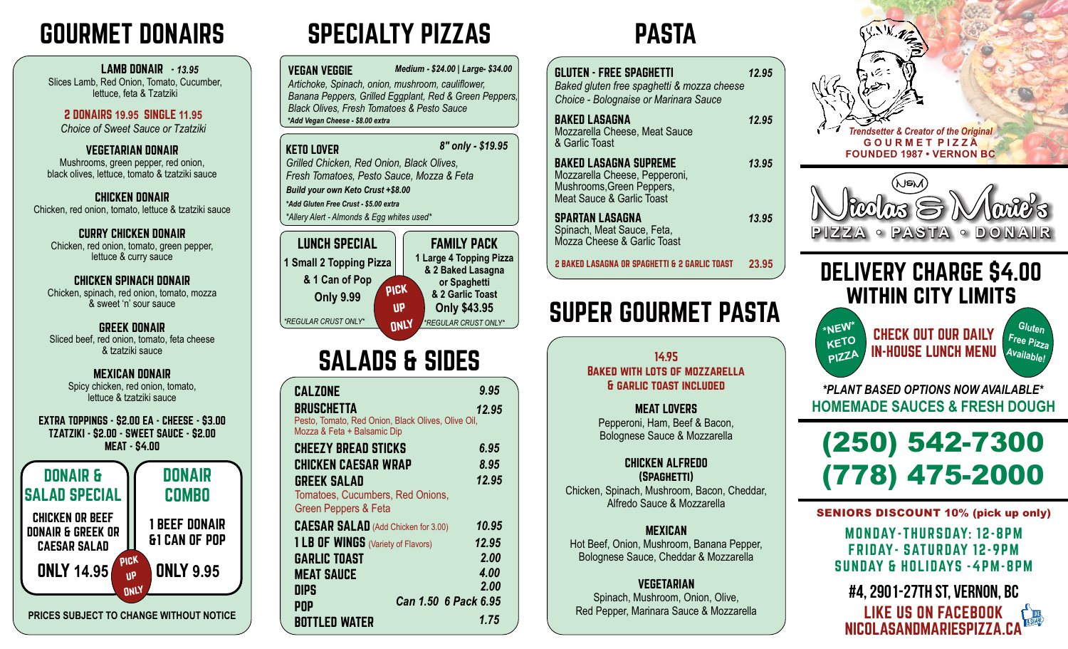# GOURMET DONAIRS SPECIALTY PIZZAS

### LAMB DONAIR - *13.95* Slices Lamb, Red Onion, Tomato, Cucumber, lettuce, feta & Tzatziki

2 DONAIRS **19.95** SINGLE **11.95** *Choice of Sweet Sauce or Tzatziki*

VEGETARIAN DONAIR Mushrooms, green pepper, red onion, black olives, lettuce, tomato & tzatziki sauce

CHICKEN DONAIR Chicken, red onion, tomato, lettuce & tzatziki sauce

CURRY CHICKEN DONAIR Chicken, red onion, tomato, green pepper, lettuce & curry sauce

### CHICKEN SPINACH DONAIR

Chicken, spinach, red onion, tomato, mozza & sweet 'n' sour sauce

# GREEK DONAIR

Sliced beef, red onion, tomato, feta cheese & tzatziki sauce

## MEXICAN DONAIR

Spicy chicken, red onion, tomato, lettuce & tzatziki sauce

### EXTRA TOPPINGS - \$2.00 EA - CHEESE - \$3.00 TZATZIKI - \$2.00 - SWEET SAUCE - \$2.00 MEAT - \$4.00 DONAIR COMBO CHICKEN OR BEEF DONAIR & GREEK OR CAESAR SALAD Pick up **ONLY** ONLY **9.95** 1 BEEF DONAIR &1 CAN OF POP DONAIR & SALAD SPECIAL ONLY **14.95**

**PRICES SUBJECT TO CHANGE WITHOUT NOTICE**

VEGAN VEGGIE *Artichoke, Spinach, onion, mushroom, cauliflower, Banana Peppers, Grilled Eggplant, Red & Green Peppers, Black Olives, Fresh Tomatoes & Pesto Sauce Medium - \$24.00* | Large- *\$34.00* |  $\begin{array}{|c|c|c|c|c|}\n\hline \text{*muon, cauliflower,} & & \text{B1} \\
\hline\n\end{array}*$ *\*Add Vegan Cheese - \$8.00 extra*

*8" only - \$19.95*

KETO LOVER

*Grilled Chicken, Red Onion, Black Olives, Fresh Tomatoes, Pesto Sauce, Mozza & Feta \*Allery Alert - Almonds & Egg whites used\* \*Add Gluten Free Crust - \$5.00 extra Build your own Keto Crust +\$8.00*



# SALADS & SIDES

| <b>CALZONE</b>                                                   | 9.95  |
|------------------------------------------------------------------|-------|
| BRUSCHETTA<br>Pesto, Tomato, Red Onion, Black Olives, Olive Oil, | 12.95 |
| Mozza & Feta + Balsamic Dip                                      |       |
| <b>CHEEZY BREAD STICKS</b>                                       | 6.95  |
| <b>CHICKEN CAESAR WRAP</b>                                       | 8.95  |
| <b>GREEK SALAD</b>                                               | 12.95 |
| Tomatoes, Cucumbers, Red Onions,<br>Green Peppers & Feta         |       |
| <b>CAESAR SALAD</b> (Add Chicken for 3.00)                       | 10.95 |
| 1 LB OF WINGS (Variety of Flavors)                               | 12.95 |
| <b>GARLIC TOAST</b>                                              | 2.00  |
| <b>MEAT SAUCE</b>                                                | 4.00  |
| <b>DIPS</b>                                                      | 2.00  |
| Can 1.50 6 Pack 6.95<br><b>POP</b>                               |       |
| <b>BOTTLED WATER</b>                                             | 1.75  |

# PASTA

| <b>GLUTEN - FREE SPAGHETTI</b><br>Baked gluten free spaghetti & mozza cheese<br>Choice - Bolognaise or Marinara Sauce   | 12.95 |
|-------------------------------------------------------------------------------------------------------------------------|-------|
| <b>BAKED LASAGNA</b><br>Mozzarella Cheese, Meat Sauce<br>& Garlic Toast                                                 | 12.95 |
| <b>BAKED LASAGNA SUPREME</b><br>Mozzarella Cheese, Pepperoni,<br>Mushrooms, Green Peppers,<br>Meat Sauce & Garlic Toast | 13.95 |
| <b>SPARTAN LASAGNA</b><br>Spinach, Meat Sauce, Feta,<br>Mozza Cheese & Garlic Toast                                     | 13.95 |
| 2 BAKED LASAGNA OR SPAGHETTI & 2 GARLIC TOAST                                                                           | 23.95 |
| SUPER GOURMET PASTA<br>14.95<br><b>BAKED WITH LOTS OF MOZZARELLA</b>                                                    |       |
| & GARLIC TOAST INCLUDED                                                                                                 |       |
| <b>MEAT LOVERS</b><br>Pepperoni, Ham, Beef & Bacon,<br>Bolognese Sauce & Mozzarella                                     |       |
| <b>CHICKEN ALFREDO</b><br>(SPAGHETTI)                                                                                   |       |

Chicken, Spinach, Mushroom, Bacon, Cheddar, Alfredo Sauce & Mozzarella

MEXICAN Hot Beef, Onion, Mushroom, Banana Pepper, Bolognese Sauce, Cheddar & Mozzarella

VEGETARIAN Spinach, Mushroom, Onion, Olive, Red Pepper, Marinara Sauce & Mozzarella





# DELIVERY CHARGE \$4.00 WITHIN CITY LIMITS

**\*NEW\* KETO**  $P<sub>P1</sub>ZZA$ CHECK OUT OUR DAILY IN-HOUSE LUNCH MENU



**HOMEMADE SAUCES & FRESH DOUGH** *\*PLANT BASED OPTIONS NOW AVAILABLE\**



SENIORS DISCOUNT 10% (pick up only)

MONDAY-THURSDAY: 12-8PM FRIDAY- SATURDAY 12-9PM SUNDAY & HOLIDAYS -4PM-8PM

#4, 2901-27th St, Vernon, BC NICOLASANDMARIESPIZZA.CA LIKE US ON FACEBOOK